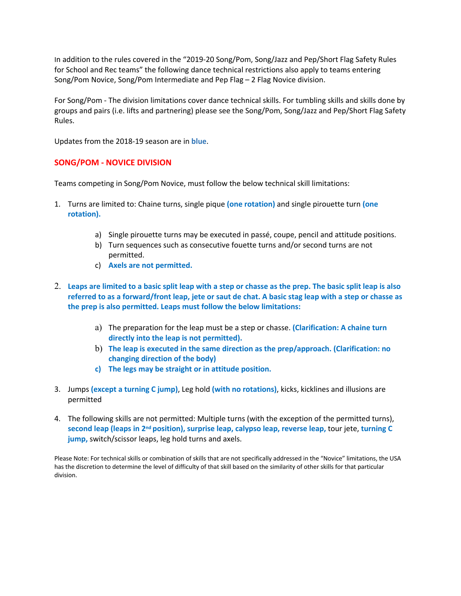In addition to the rules covered in the "2019-20 Song/Pom, Song/Jazz and Pep/Short Flag Safety Rules for School and Rec teams" the following dance technical restrictions also apply to teams entering Song/Pom Novice, Song/Pom Intermediate and Pep Flag – 2 Flag Novice division.

For Song/Pom - The division limitations cover dance technical skills. For tumbling skills and skills done by groups and pairs (i.e. lifts and partnering) please see the Song/Pom, Song/Jazz and Pep/Short Flag Safety Rules.

Updates from the 2018-19 season are in **blue**.

## **SONG/POM - NOVICE DIVISION**

Teams competing in Song/Pom Novice, must follow the below technical skill limitations:

- 1. Turns are limited to: Chaine turns, single pique **(one rotation)** and single pirouette turn **(one rotation).** 
	- a) Single pirouette turns may be executed in passé, coupe, pencil and attitude positions.
	- b) Turn sequences such as consecutive fouette turns and/or second turns are not permitted.
	- c) **Axels are not permitted.**
- 2. **Leaps are limited to a basic split leap with a step or chasse as the prep. The basic split leap is also referred to as a forward/front leap, jete or saut de chat. A basic stag leap with a step or chasse as the prep is also permitted. Leaps must follow the below limitations:** 
	- a) The preparation for the leap must be a step or chasse. **(Clarification: A chaine turn directly into the leap is not permitted).**
	- b) **The leap is executed in the same direction as the prep/approach. (Clarification: no changing direction of the body)**
	- **c) The legs may be straight or in attitude position.**
- 3. Jumps **(except a turning C jump)**, Leg hold **(with no rotations)**, kicks, kicklines and illusions are permitted
- 4. The following skills are not permitted: Multiple turns (with the exception of the permitted turns), **second leap (leaps in 2nd position), surprise leap, calypso leap, reverse leap,** tour jete, **turning C jump,** switch/scissor leaps, leg hold turns and axels.

Please Note: For technical skills or combination of skills that are not specifically addressed in the "Novice" limitations, the USA has the discretion to determine the level of difficulty of that skill based on the similarity of other skills for that particular division.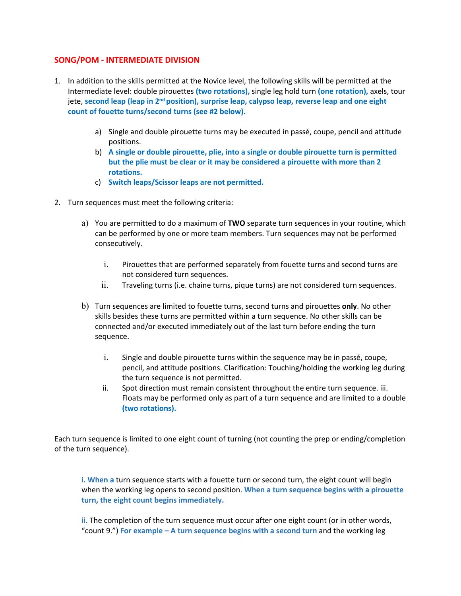# **SONG/POM - INTERMEDIATE DIVISION**

- 1. In addition to the skills permitted at the Novice level, the following skills will be permitted at the Intermediate level: double pirouettes **(two rotations),** single leg hold turn **(one rotation),** axels, tour jete, **second leap (leap in 2nd position), surprise leap, calypso leap, reverse leap and one eight count of fouette turns/second turns (see #2 below).** 
	- a) Single and double pirouette turns may be executed in passé, coupe, pencil and attitude positions.
	- b) **A single or double pirouette, plie, into a single or double pirouette turn is permitted but the plie must be clear or it may be considered a pirouette with more than 2 rotations.**
	- c) **Switch leaps/Scissor leaps are not permitted.**
- 2. Turn sequences must meet the following criteria:
	- a) You are permitted to do a maximum of **TWO** separate turn sequences in your routine, which can be performed by one or more team members. Turn sequences may not be performed consecutively.
		- i. Pirouettes that are performed separately from fouette turns and second turns are not considered turn sequences.
		- ii. Traveling turns (i.e. chaine turns, pique turns) are not considered turn sequences.
	- b) Turn sequences are limited to fouette turns, second turns and pirouettes **only**. No other skills besides these turns are permitted within a turn sequence. No other skills can be connected and/or executed immediately out of the last turn before ending the turn sequence.
		- i. Single and double pirouette turns within the sequence may be in passé, coupe, pencil, and attitude positions. Clarification: Touching/holding the working leg during the turn sequence is not permitted.
		- ii. Spot direction must remain consistent throughout the entire turn sequence. iii. Floats may be performed only as part of a turn sequence and are limited to a double **(two rotations).**

Each turn sequence is limited to one eight count of turning (not counting the prep or ending/completion of the turn sequence).

**i. When a** turn sequence starts with a fouette turn or second turn, the eight count will begin when the working leg opens to second position. **When a turn sequence begins with a pirouette turn, the eight count begins immediately.** 

ii. The completion of the turn sequence must occur after one eight count (or in other words, "count 9.") **For example – A turn sequence begins with a second turn** and the working leg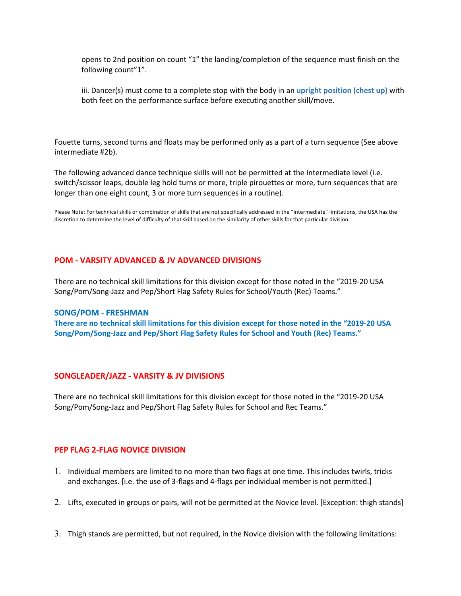opens to 2nd position on count "1" the landing/completion of the sequence must finish on the following count"1".

iii. Dancer(s) must come to a complete stop with the body in an **upright position (chest up)** with both feet on the performance surface before executing another skill/move.

Fouette turns, second turns and floats may be performed only as a part of a turn sequence (See above intermediate #2b).

The following advanced dance technique skills will not be permitted at the Intermediate level (i.e. switch/scissor leaps, double leg hold turns or more, triple pirouettes or more, turn sequences that are longer than one eight count, 3 or more turn sequences in a routine).

Please Note: For technical skills or combination of skills that are not specifically addressed in the "Intermediate" limitations, the USA has the discretion to determine the level of difficulty of that skill based on the similarity of other skills for that particular division.

## **POM - VARSITY ADVANCED & JV ADVANCED DIVISIONS**

There are no technical skill limitations for this division except for those noted in the "2019-20 USA Song/Pom/Song-Jazz and Pep/Short Flag Safety Rules for School/Youth (Rec) Teams."

#### **SONG/POM - FRESHMAN**

**There are no technical skill limitations for this division except for those noted in the "2019-20 USA Song/Pom/Song-Jazz and Pep/Short Flag Safety Rules for School and Youth (Rec) Teams."** 

#### **SONGLEADER/JAZZ - VARSITY & JV DIVISIONS**

There are no technical skill limitations for this division except for those noted in the "2019-20 USA Song/Pom/Song-Jazz and Pep/Short Flag Safety Rules for School and Rec Teams."

## **PEP FLAG 2-FLAG NOVICE DIVISION**

- 1. Individual members are limited to no more than two flags at one time. This includes twirls, tricks and exchanges. [i.e. the use of 3-flags and 4-flags per individual member is not permitted.]
- 2. Lifts, executed in groups or pairs, will not be permitted at the Novice level. [Exception: thigh stands]
- 3. Thigh stands are permitted, but not required, in the Novice division with the following limitations: